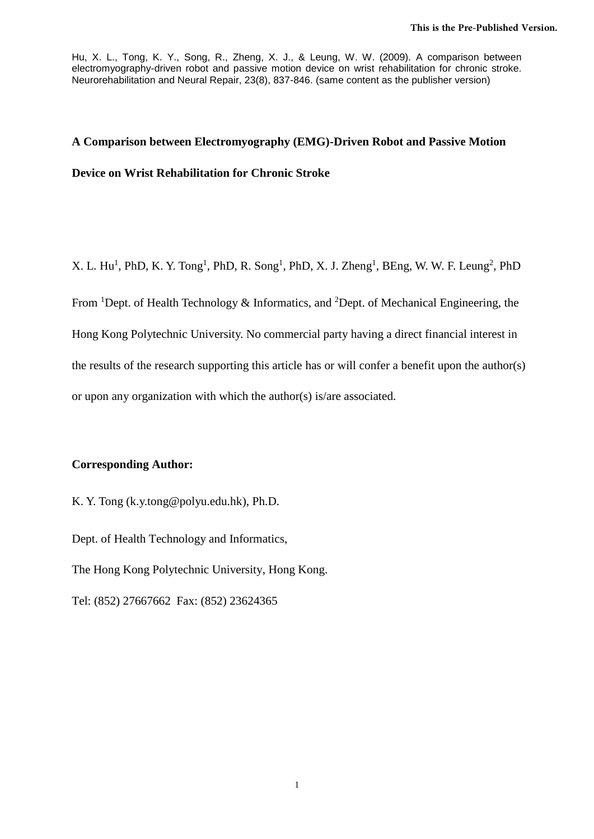# **A Comparison between Electromyography (EMG)-Driven Robot and Passive Motion Device on Wrist Rehabilitation for Chronic Stroke**

X. L. Hu<sup>1</sup>, PhD, K. Y. Tong<sup>1</sup>, PhD, R. Song<sup>1</sup>, PhD, X. J. Zheng<sup>1</sup>, BEng, W. W. F. Leung<sup>2</sup>, PhD

From <sup>1</sup>Dept. of Health Technology & Informatics, and <sup>2</sup>Dept. of Mechanical Engineering, the Hong Kong Polytechnic University. No commercial party having a direct financial interest in the results of the research supporting this article has or will confer a benefit upon the author(s) or upon any organization with which the author(s) is/are associated.

## **Corresponding Author:**

K. Y. Tong [\(k.y.tong@polyu.edu.hk\)](mailto:rctong@polyu.edu.hk), Ph.D.

Dept. of Health Technology and Informatics,

The Hong Kong Polytechnic University, Hong Kong.

Tel: (852) 27667662 Fax: (852) 23624365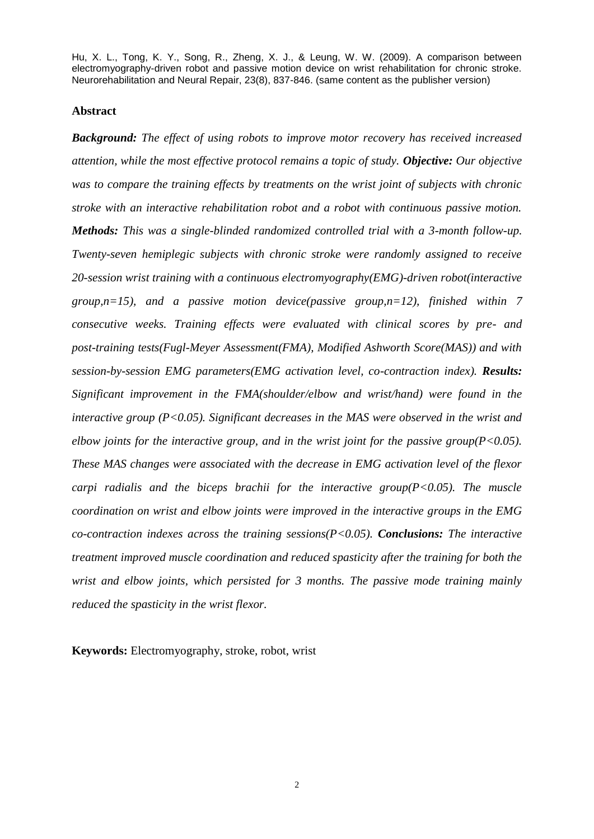#### **Abstract**

*Background: The effect of using robots to improve motor recovery has received increased attention, while the most effective protocol remains a topic of study. Objective: Our objective was to compare the training effects by treatments on the wrist joint of subjects with chronic stroke with an interactive rehabilitation robot and a robot with continuous passive motion. Methods: This was a single-blinded randomized controlled trial with a 3-month follow-up. Twenty-seven hemiplegic subjects with chronic stroke were randomly assigned to receive 20-session wrist training with a continuous electromyography(EMG)-driven robot(interactive group,n=15), and a passive motion device(passive group,n=12), finished within 7 consecutive weeks. Training effects were evaluated with clinical scores by pre- and post-training tests(Fugl-Meyer Assessment(FMA), Modified Ashworth Score(MAS)) and with session-by-session EMG parameters(EMG activation level, co-contraction index). Results: Significant improvement in the FMA(shoulder/elbow and wrist/hand) were found in the interactive group (P<0.05). Significant decreases in the MAS were observed in the wrist and elbow joints for the interactive group, and in the wrist joint for the passive group(P<0.05). These MAS changes were associated with the decrease in EMG activation level of the flexor carpi radialis and the biceps brachii for the interactive group(P<0.05). The muscle coordination on wrist and elbow joints were improved in the interactive groups in the EMG co-contraction indexes across the training sessions(P<0.05). Conclusions: The interactive treatment improved muscle coordination and reduced spasticity after the training for both the wrist and elbow joints, which persisted for 3 months. The passive mode training mainly reduced the spasticity in the wrist flexor.*

**Keywords:** Electromyography, stroke, robot, wrist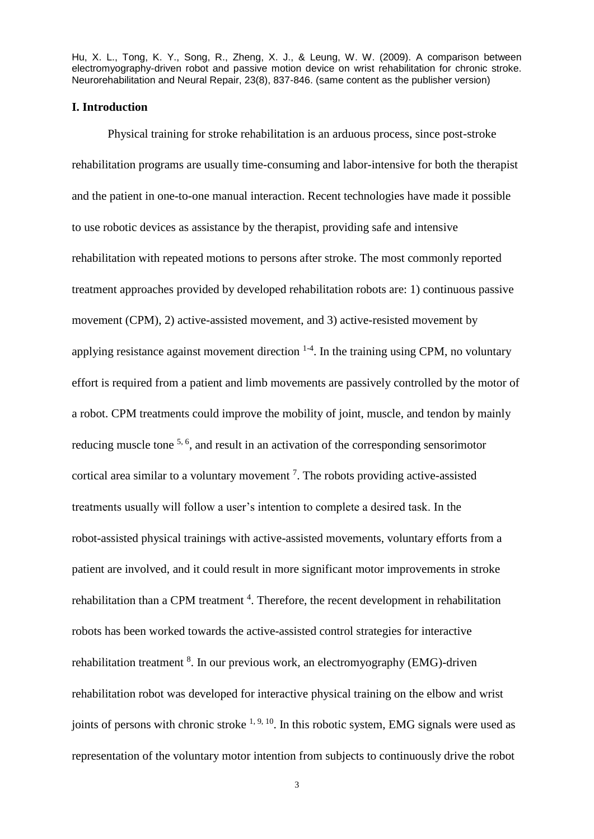#### **I. Introduction**

Physical training for stroke rehabilitation is an arduous process, since post-stroke rehabilitation programs are usually time-consuming and labor-intensive for both the therapist and the patient in one-to-one manual interaction. Recent technologies have made it possible to use robotic devices as assistance by the therapist, providing safe and intensive rehabilitation with repeated motions to persons after stroke. The most commonly reported treatment approaches provided by developed rehabilitation robots are: 1) continuous passive movement (CPM), 2) active-assisted movement, and 3) active-resisted movement by applying resistance against movement direction  $1-4$ . In the training using CPM, no voluntary effort is required from a patient and limb movements are passively controlled by the motor of a robot. CPM treatments could improve the mobility of joint, muscle, and tendon by mainly reducing muscle tone <sup>5, 6</sup>, and result in an activation of the corresponding sensorimotor cortical area similar to a voluntary movement<sup>7</sup>. The robots providing active-assisted treatments usually will follow a user's intention to complete a desired task. In the robot-assisted physical trainings with active-assisted movements, voluntary efforts from a patient are involved, and it could result in more significant motor improvements in stroke rehabilitation than a CPM treatment<sup>4</sup>. Therefore, the recent development in rehabilitation robots has been worked towards the active-assisted control strategies for interactive rehabilitation treatment <sup>8</sup>. In our previous work, an electromyography (EMG)-driven rehabilitation robot was developed for interactive physical training on the elbow and wrist joints of persons with chronic stroke  $1, 9, 10$ . In this robotic system, EMG signals were used as representation of the voluntary motor intention from subjects to continuously drive the robot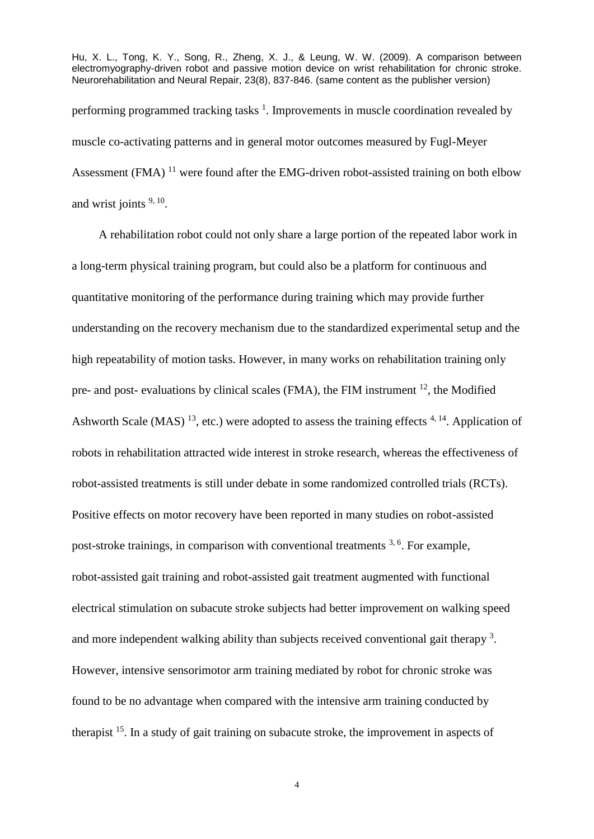Hu, X. L., Tong, K. Y., Song, R., Zheng, X. J., & Leung, W. W. (2009). A comparison between electromyography-driven robot and passive motion device on wrist rehabilitation for chronic stroke. Neurorehabilitation and Neural Repair, 23(8), 837-846. (same content as the publisher version) performing programmed tracking tasks<sup>1</sup>. Improvements in muscle coordination revealed by muscle co-activating patterns and in general motor outcomes measured by Fugl-Meyer Assessment (FMA)  $^{11}$  were found after the EMG-driven robot-assisted training on both elbow and wrist joints  $9, 10$ .

A rehabilitation robot could not only share a large portion of the repeated labor work in a long-term physical training program, but could also be a platform for continuous and quantitative monitoring of the performance during training which may provide further understanding on the recovery mechanism due to the standardized experimental setup and the high repeatability of motion tasks. However, in many works on rehabilitation training only pre- and post- evaluations by clinical scales (FMA), the FIM instrument  $^{12}$ , the Modified Ashworth Scale (MAS)<sup>13</sup>, etc.) were adopted to assess the training effects  $4,14$ . Application of robots in rehabilitation attracted wide interest in stroke research, whereas the effectiveness of robot-assisted treatments is still under debate in some randomized controlled trials (RCTs). Positive effects on motor recovery have been reported in many studies on robot-assisted post-stroke trainings, in comparison with conventional treatments <sup>3, 6</sup>. For example, robot-assisted gait training and robot-assisted gait treatment augmented with functional electrical stimulation on subacute stroke subjects had better improvement on walking speed and more independent walking ability than subjects received conventional gait therapy  $3$ . However, intensive sensorimotor arm training mediated by robot for chronic stroke was found to be no advantage when compared with the intensive arm training conducted by therapist <sup>15</sup>. In a study of gait training on subacute stroke, the improvement in aspects of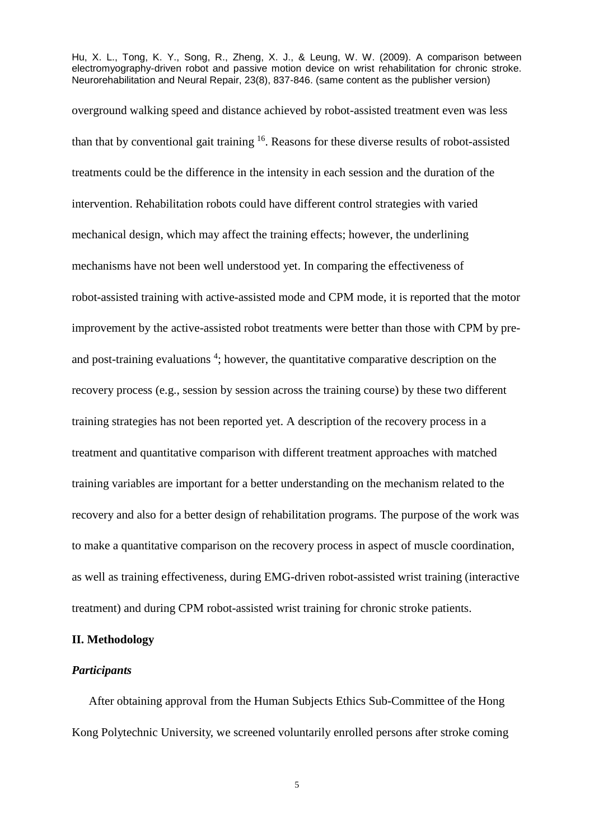overground walking speed and distance achieved by robot-assisted treatment even was less than that by conventional gait training <sup>16</sup>. Reasons for these diverse results of robot-assisted treatments could be the difference in the intensity in each session and the duration of the intervention. Rehabilitation robots could have different control strategies with varied mechanical design, which may affect the training effects; however, the underlining mechanisms have not been well understood yet. In comparing the effectiveness of robot-assisted training with active-assisted mode and CPM mode, it is reported that the motor improvement by the active-assisted robot treatments were better than those with CPM by preand post-training evaluations<sup>4</sup>; however, the quantitative comparative description on the recovery process (e.g., session by session across the training course) by these two different training strategies has not been reported yet. A description of the recovery process in a treatment and quantitative comparison with different treatment approaches with matched training variables are important for a better understanding on the mechanism related to the recovery and also for a better design of rehabilitation programs. The purpose of the work was to make a quantitative comparison on the recovery process in aspect of muscle coordination, as well as training effectiveness, during EMG-driven robot-assisted wrist training (interactive treatment) and during CPM robot-assisted wrist training for chronic stroke patients.

# **II. Methodology**

# *Participants*

After obtaining approval from the Human Subjects Ethics Sub-Committee of the Hong Kong Polytechnic University, we screened voluntarily enrolled persons after stroke coming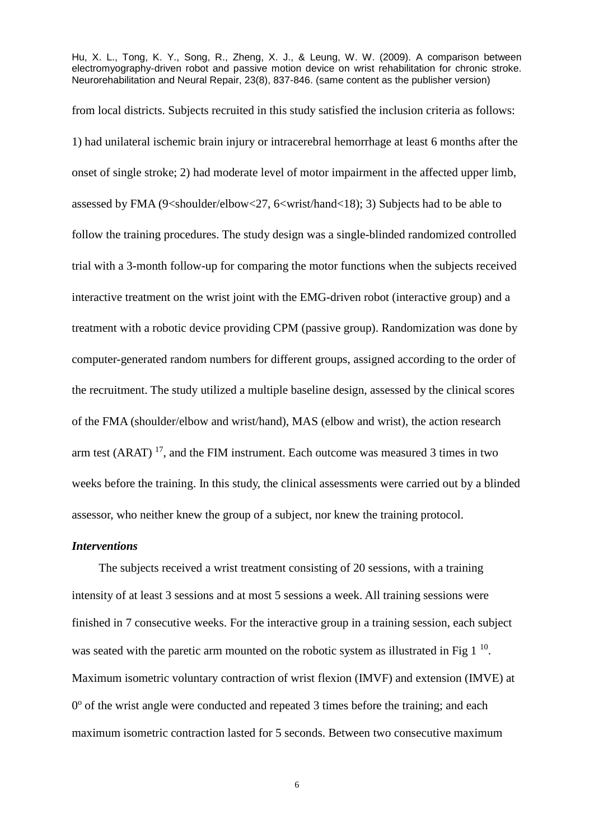from local districts. Subjects recruited in this study satisfied the inclusion criteria as follows: 1) had unilateral ischemic brain injury or intracerebral hemorrhage at least 6 months after the onset of single stroke; 2) had moderate level of motor impairment in the affected upper limb, assessed by FMA (9<shoulder/elbow<27, 6<wrist/hand<18); 3) Subjects had to be able to follow the training procedures. The study design was a single-blinded randomized controlled trial with a 3-month follow-up for comparing the motor functions when the subjects received interactive treatment on the wrist joint with the EMG-driven robot (interactive group) and a treatment with a robotic device providing CPM (passive group). Randomization was done by computer-generated random numbers for different groups, assigned according to the order of the recruitment. The study utilized a multiple baseline design, assessed by the clinical scores of the FMA (shoulder/elbow and wrist/hand), MAS (elbow and wrist), the action research arm test (ARAT)  $^{17}$ , and the FIM instrument. Each outcome was measured 3 times in two weeks before the training. In this study, the clinical assessments were carried out by a blinded assessor, who neither knew the group of a subject, nor knew the training protocol.

#### *Interventions*

The subjects received a wrist treatment consisting of 20 sessions, with a training intensity of at least 3 sessions and at most 5 sessions a week. All training sessions were finished in 7 consecutive weeks. For the interactive group in a training session, each subject was seated with the paretic arm mounted on the robotic system as illustrated in Fig  $1<sup>10</sup>$ . Maximum isometric voluntary contraction of wrist flexion (IMVF) and extension (IMVE) at 0° of the wrist angle were conducted and repeated 3 times before the training; and each maximum isometric contraction lasted for 5 seconds. Between two consecutive maximum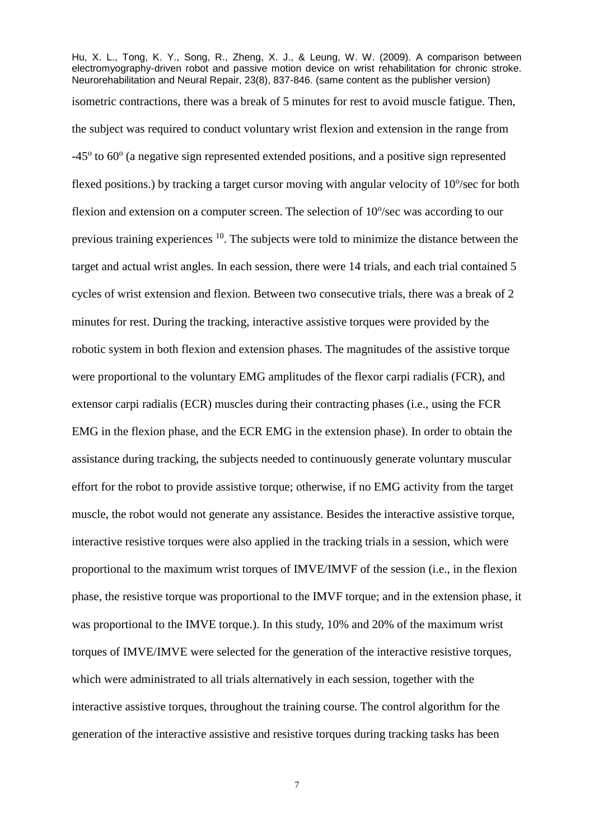Hu, X. L., Tong, K. Y., Song, R., Zheng, X. J., & Leung, W. W. (2009). A comparison between electromyography-driven robot and passive motion device on wrist rehabilitation for chronic stroke. Neurorehabilitation and Neural Repair, 23(8), 837-846. (same content as the publisher version) isometric contractions, there was a break of 5 minutes for rest to avoid muscle fatigue. Then, the subject was required to conduct voluntary wrist flexion and extension in the range from -45<sup>o</sup> to 60<sup>o</sup> (a negative sign represented extended positions, and a positive sign represented flexed positions.) by tracking a target cursor moving with angular velocity of  $10^{\circ}/sec$  for both flexion and extension on a computer screen. The selection of  $10^{\circ}/sec$  was according to our previous training experiences <sup>10</sup>. The subjects were told to minimize the distance between the target and actual wrist angles. In each session, there were 14 trials, and each trial contained 5 cycles of wrist extension and flexion. Between two consecutive trials, there was a break of 2 minutes for rest. During the tracking, interactive assistive torques were provided by the robotic system in both flexion and extension phases. The magnitudes of the assistive torque were proportional to the voluntary EMG amplitudes of the flexor carpi radialis (FCR), and extensor carpi radialis (ECR) muscles during their contracting phases (i.e., using the FCR EMG in the flexion phase, and the ECR EMG in the extension phase). In order to obtain the assistance during tracking, the subjects needed to continuously generate voluntary muscular effort for the robot to provide assistive torque; otherwise, if no EMG activity from the target muscle, the robot would not generate any assistance. Besides the interactive assistive torque, interactive resistive torques were also applied in the tracking trials in a session, which were proportional to the maximum wrist torques of IMVE/IMVF of the session (i.e., in the flexion phase, the resistive torque was proportional to the IMVF torque; and in the extension phase, it was proportional to the IMVE torque.). In this study, 10% and 20% of the maximum wrist torques of IMVE/IMVE were selected for the generation of the interactive resistive torques, which were administrated to all trials alternatively in each session, together with the interactive assistive torques, throughout the training course. The control algorithm for the generation of the interactive assistive and resistive torques during tracking tasks has been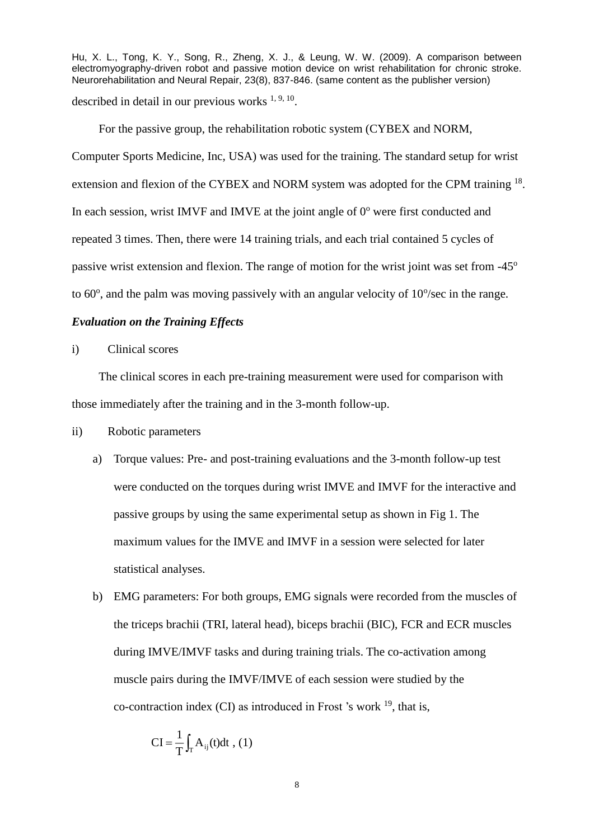For the passive group, the rehabilitation robotic system (CYBEX and NORM, Computer Sports Medicine, Inc, USA) was used for the training. The standard setup for wrist extension and flexion of the CYBEX and NORM system was adopted for the CPM training <sup>18</sup>. In each session, wrist IMVF and IMVE at the joint angle of  $0^{\circ}$  were first conducted and repeated 3 times. Then, there were 14 training trials, and each trial contained 5 cycles of passive wrist extension and flexion. The range of motion for the wrist joint was set from -45<sup>o</sup> to  $60^{\circ}$ , and the palm was moving passively with an angular velocity of  $10^{\circ}$ /sec in the range.

#### *Evaluation on the Training Effects*

i) Clinical scores

The clinical scores in each pre-training measurement were used for comparison with those immediately after the training and in the 3-month follow-up.

- ii) Robotic parameters
	- a) Torque values: Pre- and post-training evaluations and the 3-month follow-up test were conducted on the torques during wrist IMVE and IMVF for the interactive and passive groups by using the same experimental setup as shown in Fig 1. The maximum values for the IMVE and IMVF in a session were selected for later statistical analyses.
	- b) EMG parameters: For both groups, EMG signals were recorded from the muscles of the triceps brachii (TRI, lateral head), biceps brachii (BIC), FCR and ECR muscles during IMVE/IMVF tasks and during training trials. The co-activation among muscle pairs during the IMVF/IMVE of each session were studied by the co-contraction index  $(CI)$  as introduced in Frost 's work  $^{19}$ , that is,

$$
CI = \frac{1}{T} \int_{T} A_{ij}(t) dt , (1)
$$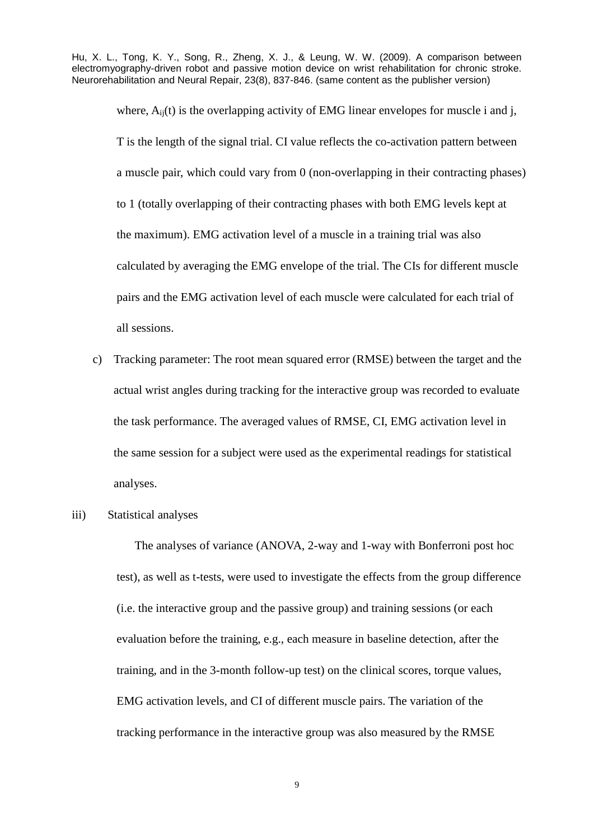where,  $A_{ii}(t)$  is the overlapping activity of EMG linear envelopes for muscle i and j, T is the length of the signal trial. CI value reflects the co-activation pattern between a muscle pair, which could vary from 0 (non-overlapping in their contracting phases) to 1 (totally overlapping of their contracting phases with both EMG levels kept at the maximum). EMG activation level of a muscle in a training trial was also calculated by averaging the EMG envelope of the trial. The CIs for different muscle pairs and the EMG activation level of each muscle were calculated for each trial of all sessions.

- c) Tracking parameter: The root mean squared error (RMSE) between the target and the actual wrist angles during tracking for the interactive group was recorded to evaluate the task performance. The averaged values of RMSE, CI, EMG activation level in the same session for a subject were used as the experimental readings for statistical analyses.
- iii) Statistical analyses

The analyses of variance (ANOVA, 2-way and 1-way with Bonferroni post hoc test), as well as t-tests, were used to investigate the effects from the group difference (i.e. the interactive group and the passive group) and training sessions (or each evaluation before the training, e.g., each measure in baseline detection, after the training, and in the 3-month follow-up test) on the clinical scores, torque values, EMG activation levels, and CI of different muscle pairs. The variation of the tracking performance in the interactive group was also measured by the RMSE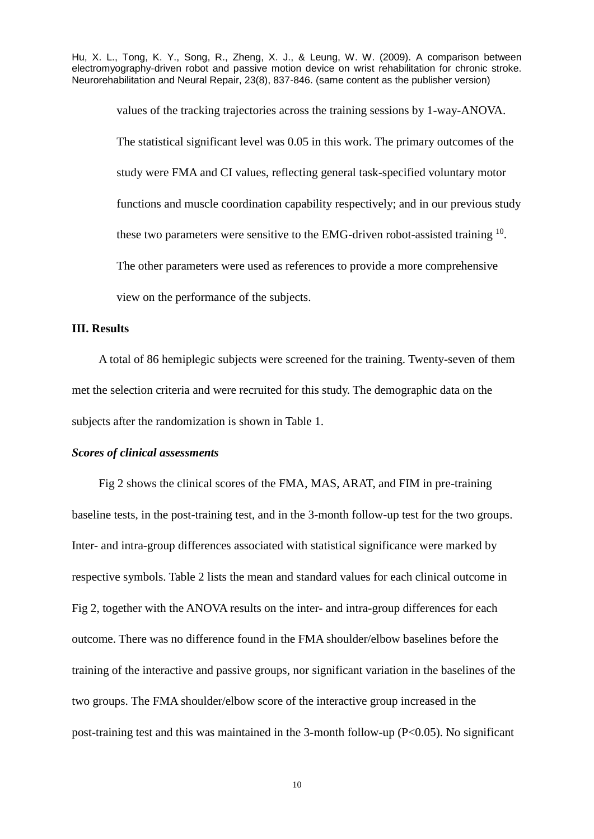> values of the tracking trajectories across the training sessions by 1-way-ANOVA. The statistical significant level was 0.05 in this work. The primary outcomes of the study were FMA and CI values, reflecting general task-specified voluntary motor functions and muscle coordination capability respectively; and in our previous study these two parameters were sensitive to the EMG-driven robot-assisted training  $10$ . The other parameters were used as references to provide a more comprehensive view on the performance of the subjects.

### **III. Results**

A total of 86 hemiplegic subjects were screened for the training. Twenty-seven of them met the selection criteria and were recruited for this study. The demographic data on the subjects after the randomization is shown in Table 1.

## *Scores of clinical assessments*

Fig 2 shows the clinical scores of the FMA, MAS, ARAT, and FIM in pre-training baseline tests, in the post-training test, and in the 3-month follow-up test for the two groups. Inter- and intra-group differences associated with statistical significance were marked by respective symbols. Table 2 lists the mean and standard values for each clinical outcome in Fig 2, together with the ANOVA results on the inter- and intra-group differences for each outcome. There was no difference found in the FMA shoulder/elbow baselines before the training of the interactive and passive groups, nor significant variation in the baselines of the two groups. The FMA shoulder/elbow score of the interactive group increased in the post-training test and this was maintained in the 3-month follow-up (P<0.05). No significant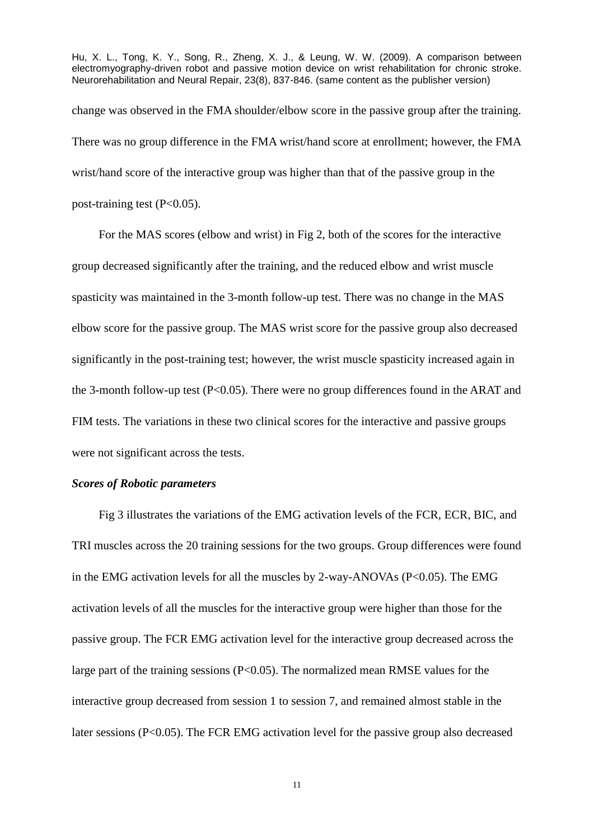Hu, X. L., Tong, K. Y., Song, R., Zheng, X. J., & Leung, W. W. (2009). A comparison between electromyography-driven robot and passive motion device on wrist rehabilitation for chronic stroke. Neurorehabilitation and Neural Repair, 23(8), 837-846. (same content as the publisher version) change was observed in the FMA shoulder/elbow score in the passive group after the training. There was no group difference in the FMA wrist/hand score at enrollment; however, the FMA wrist/hand score of the interactive group was higher than that of the passive group in the post-training test  $(P<0.05)$ .

For the MAS scores (elbow and wrist) in Fig 2, both of the scores for the interactive group decreased significantly after the training, and the reduced elbow and wrist muscle spasticity was maintained in the 3-month follow-up test. There was no change in the MAS elbow score for the passive group. The MAS wrist score for the passive group also decreased significantly in the post-training test; however, the wrist muscle spasticity increased again in the 3-month follow-up test  $(P<0.05)$ . There were no group differences found in the ARAT and FIM tests. The variations in these two clinical scores for the interactive and passive groups were not significant across the tests.

## *Scores of Robotic parameters*

Fig 3 illustrates the variations of the EMG activation levels of the FCR, ECR, BIC, and TRI muscles across the 20 training sessions for the two groups. Group differences were found in the EMG activation levels for all the muscles by 2-way-ANOVAs ( $P<0.05$ ). The EMG activation levels of all the muscles for the interactive group were higher than those for the passive group. The FCR EMG activation level for the interactive group decreased across the large part of the training sessions (P<0.05). The normalized mean RMSE values for the interactive group decreased from session 1 to session 7, and remained almost stable in the later sessions (P<0.05). The FCR EMG activation level for the passive group also decreased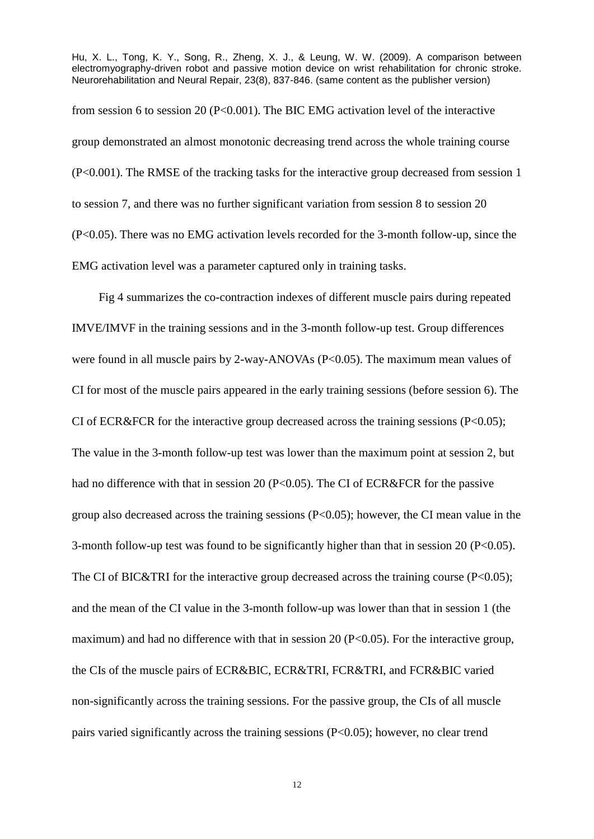from session 6 to session 20 (P<0.001). The BIC EMG activation level of the interactive group demonstrated an almost monotonic decreasing trend across the whole training course (P<0.001). The RMSE of the tracking tasks for the interactive group decreased from session 1 to session 7, and there was no further significant variation from session 8 to session 20 (P<0.05). There was no EMG activation levels recorded for the 3-month follow-up, since the EMG activation level was a parameter captured only in training tasks.

Fig 4 summarizes the co-contraction indexes of different muscle pairs during repeated IMVE/IMVF in the training sessions and in the 3-month follow-up test. Group differences were found in all muscle pairs by 2-way-ANOVAs (P<0.05). The maximum mean values of CI for most of the muscle pairs appeared in the early training sessions (before session 6). The CI of ECR&FCR for the interactive group decreased across the training sessions  $(P<0.05)$ ; The value in the 3-month follow-up test was lower than the maximum point at session 2, but had no difference with that in session 20 (P<0.05). The CI of ECR&FCR for the passive group also decreased across the training sessions (P<0.05); however, the CI mean value in the 3-month follow-up test was found to be significantly higher than that in session 20 ( $P<0.05$ ). The CI of BIC&TRI for the interactive group decreased across the training course  $(P<0.05)$ ; and the mean of the CI value in the 3-month follow-up was lower than that in session 1 (the maximum) and had no difference with that in session 20 ( $P<0.05$ ). For the interactive group, the CIs of the muscle pairs of ECR&BIC, ECR&TRI, FCR&TRI, and FCR&BIC varied non-significantly across the training sessions. For the passive group, the CIs of all muscle pairs varied significantly across the training sessions (P<0.05); however, no clear trend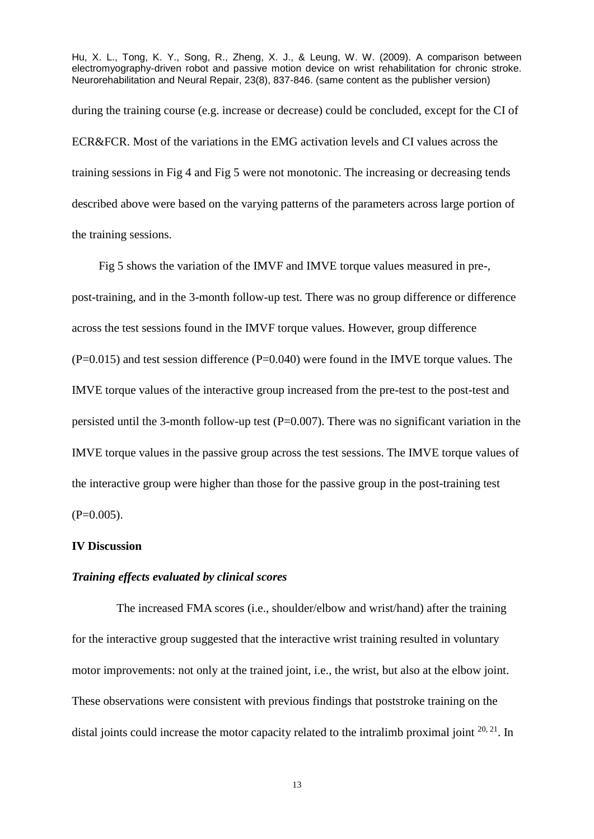during the training course (e.g. increase or decrease) could be concluded, except for the CI of ECR&FCR. Most of the variations in the EMG activation levels and CI values across the training sessions in Fig 4 and Fig 5 were not monotonic. The increasing or decreasing tends described above were based on the varying patterns of the parameters across large portion of the training sessions.

Fig 5 shows the variation of the IMVF and IMVE torque values measured in pre-, post-training, and in the 3-month follow-up test. There was no group difference or difference across the test sessions found in the IMVF torque values. However, group difference  $(P=0.015)$  and test session difference  $(P=0.040)$  were found in the IMVE torque values. The IMVE torque values of the interactive group increased from the pre-test to the post-test and persisted until the 3-month follow-up test  $(P=0.007)$ . There was no significant variation in the IMVE torque values in the passive group across the test sessions. The IMVE torque values of the interactive group were higher than those for the passive group in the post-training test  $(P=0.005)$ .

#### **IV Discussion**

### *Training effects evaluated by clinical scores*

 The increased FMA scores (i.e., shoulder/elbow and wrist/hand) after the training for the interactive group suggested that the interactive wrist training resulted in voluntary motor improvements: not only at the trained joint, i.e., the wrist, but also at the elbow joint. These observations were consistent with previous findings that poststroke training on the distal joints could increase the motor capacity related to the intralimb proximal joint  $20, 21$ . In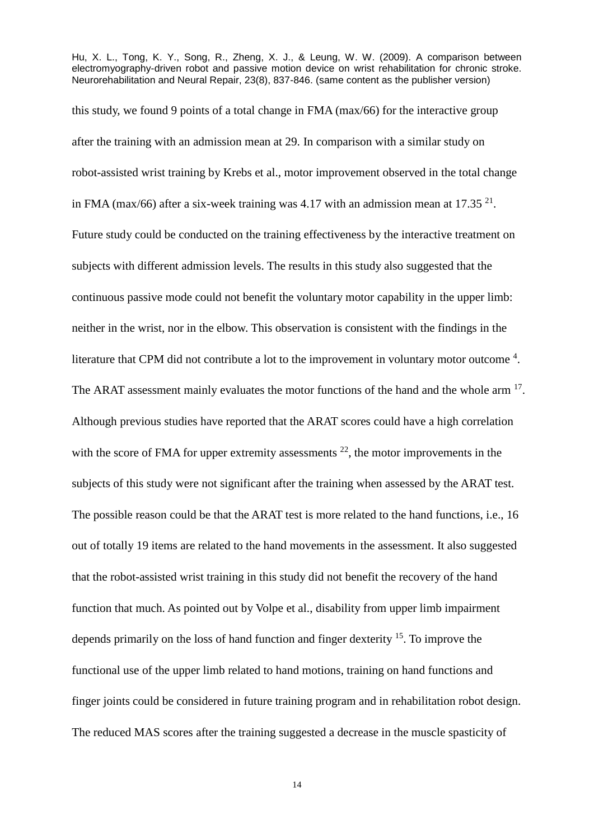this study, we found 9 points of a total change in FMA (max/66) for the interactive group after the training with an admission mean at 29. In comparison with a similar study on robot-assisted wrist training by Krebs et al., motor improvement observed in the total change in FMA (max/66) after a six-week training was 4.17 with an admission mean at 17.35 $21$ . Future study could be conducted on the training effectiveness by the interactive treatment on subjects with different admission levels. The results in this study also suggested that the continuous passive mode could not benefit the voluntary motor capability in the upper limb: neither in the wrist, nor in the elbow. This observation is consistent with the findings in the literature that CPM did not contribute a lot to the improvement in voluntary motor outcome  $4$ . The ARAT assessment mainly evaluates the motor functions of the hand and the whole arm  $17$ . Although previous studies have reported that the ARAT scores could have a high correlation with the score of FMA for upper extremity assessments  $^{22}$ , the motor improvements in the subjects of this study were not significant after the training when assessed by the ARAT test. The possible reason could be that the ARAT test is more related to the hand functions, i.e., 16 out of totally 19 items are related to the hand movements in the assessment. It also suggested that the robot-assisted wrist training in this study did not benefit the recovery of the hand function that much. As pointed out by Volpe et al., disability from upper limb impairment depends primarily on the loss of hand function and finger dexterity <sup>15</sup>. To improve the functional use of the upper limb related to hand motions, training on hand functions and finger joints could be considered in future training program and in rehabilitation robot design. The reduced MAS scores after the training suggested a decrease in the muscle spasticity of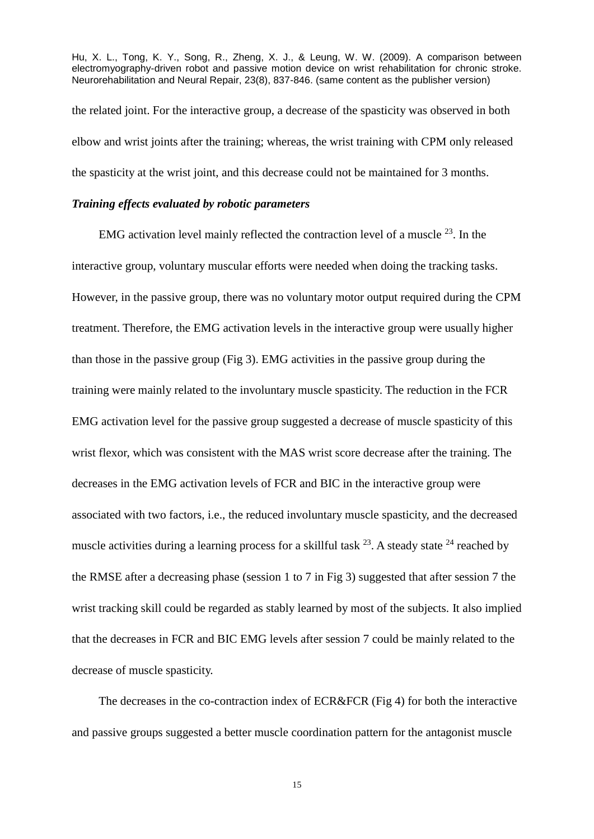the related joint. For the interactive group, a decrease of the spasticity was observed in both elbow and wrist joints after the training; whereas, the wrist training with CPM only released the spasticity at the wrist joint, and this decrease could not be maintained for 3 months.

## *Training effects evaluated by robotic parameters*

EMG activation level mainly reflected the contraction level of a muscle  $^{23}$ . In the interactive group, voluntary muscular efforts were needed when doing the tracking tasks. However, in the passive group, there was no voluntary motor output required during the CPM treatment. Therefore, the EMG activation levels in the interactive group were usually higher than those in the passive group (Fig 3). EMG activities in the passive group during the training were mainly related to the involuntary muscle spasticity. The reduction in the FCR EMG activation level for the passive group suggested a decrease of muscle spasticity of this wrist flexor, which was consistent with the MAS wrist score decrease after the training. The decreases in the EMG activation levels of FCR and BIC in the interactive group were associated with two factors, i.e., the reduced involuntary muscle spasticity, and the decreased muscle activities during a learning process for a skillful task  $^{23}$ . A steady state  $^{24}$  reached by the RMSE after a decreasing phase (session 1 to 7 in Fig 3) suggested that after session 7 the wrist tracking skill could be regarded as stably learned by most of the subjects. It also implied that the decreases in FCR and BIC EMG levels after session 7 could be mainly related to the decrease of muscle spasticity.

The decreases in the co-contraction index of ECR&FCR (Fig 4) for both the interactive and passive groups suggested a better muscle coordination pattern for the antagonist muscle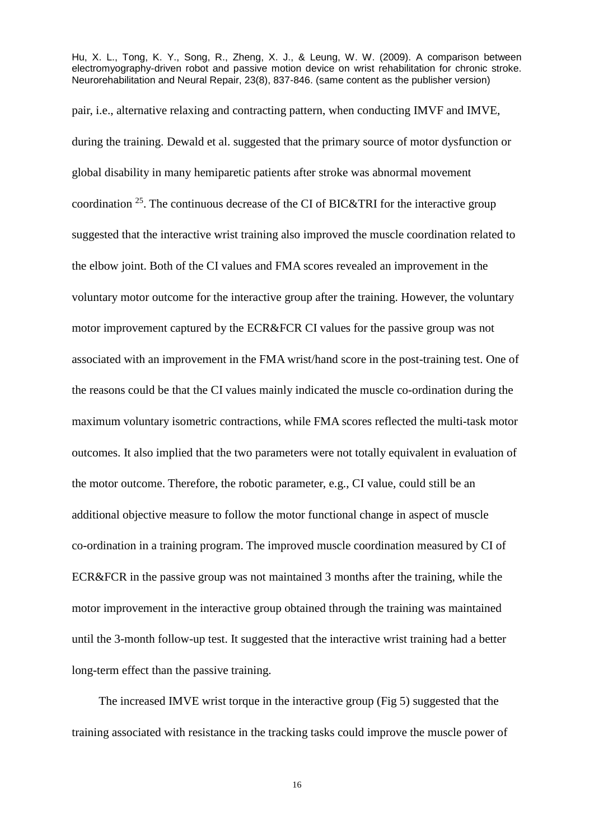pair, i.e., alternative relaxing and contracting pattern, when conducting IMVF and IMVE, during the training. Dewald et al. suggested that the primary source of motor dysfunction or global disability in many hemiparetic patients after stroke was abnormal movement coordination  $^{25}$ . The continuous decrease of the CI of BIC&TRI for the interactive group suggested that the interactive wrist training also improved the muscle coordination related to the elbow joint. Both of the CI values and FMA scores revealed an improvement in the voluntary motor outcome for the interactive group after the training. However, the voluntary motor improvement captured by the ECR&FCR CI values for the passive group was not associated with an improvement in the FMA wrist/hand score in the post-training test. One of the reasons could be that the CI values mainly indicated the muscle co-ordination during the maximum voluntary isometric contractions, while FMA scores reflected the multi-task motor outcomes. It also implied that the two parameters were not totally equivalent in evaluation of the motor outcome. Therefore, the robotic parameter, e.g., CI value, could still be an additional objective measure to follow the motor functional change in aspect of muscle co-ordination in a training program. The improved muscle coordination measured by CI of ECR&FCR in the passive group was not maintained 3 months after the training, while the motor improvement in the interactive group obtained through the training was maintained until the 3-month follow-up test. It suggested that the interactive wrist training had a better long-term effect than the passive training.

The increased IMVE wrist torque in the interactive group (Fig 5) suggested that the training associated with resistance in the tracking tasks could improve the muscle power of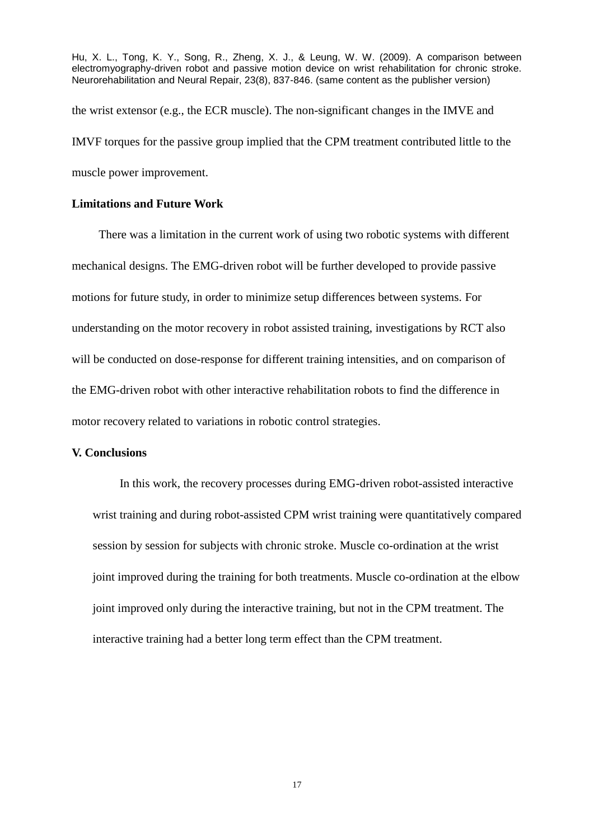Hu, X. L., Tong, K. Y., Song, R., Zheng, X. J., & Leung, W. W. (2009). A comparison between electromyography-driven robot and passive motion device on wrist rehabilitation for chronic stroke. Neurorehabilitation and Neural Repair, 23(8), 837-846. (same content as the publisher version) the wrist extensor (e.g., the ECR muscle). The non-significant changes in the IMVE and IMVF torques for the passive group implied that the CPM treatment contributed little to the

muscle power improvement.

## **Limitations and Future Work**

There was a limitation in the current work of using two robotic systems with different mechanical designs. The EMG-driven robot will be further developed to provide passive motions for future study, in order to minimize setup differences between systems. For understanding on the motor recovery in robot assisted training, investigations by RCT also will be conducted on dose-response for different training intensities, and on comparison of the EMG-driven robot with other interactive rehabilitation robots to find the difference in motor recovery related to variations in robotic control strategies.

## **V. Conclusions**

In this work, the recovery processes during EMG-driven robot-assisted interactive wrist training and during robot-assisted CPM wrist training were quantitatively compared session by session for subjects with chronic stroke. Muscle co-ordination at the wrist joint improved during the training for both treatments. Muscle co-ordination at the elbow joint improved only during the interactive training, but not in the CPM treatment. The interactive training had a better long term effect than the CPM treatment.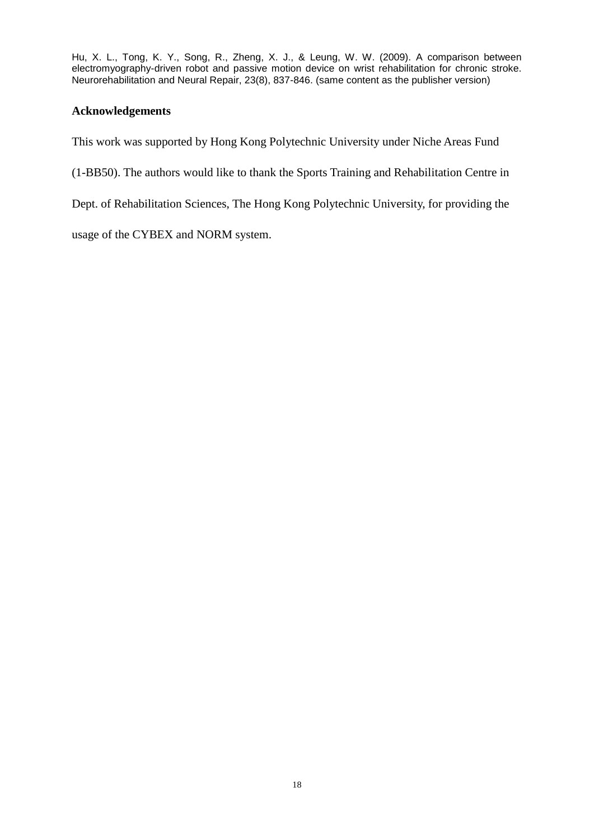# **Acknowledgements**

This work was supported by Hong Kong Polytechnic University under Niche Areas Fund

(1-BB50). The authors would like to thank the Sports Training and Rehabilitation Centre in

Dept. of Rehabilitation Sciences, The Hong Kong Polytechnic University, for providing the

usage of the CYBEX and NORM system.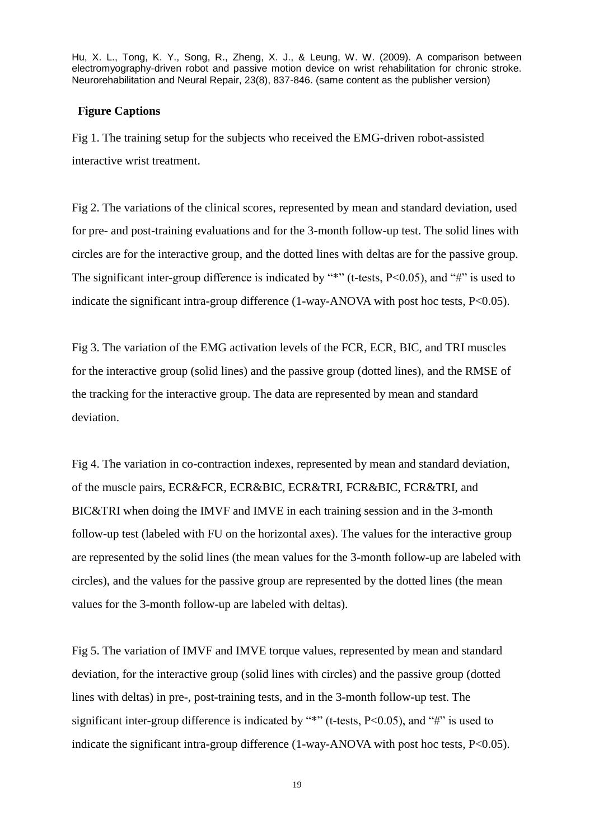#### **Figure Captions**

Fig 1. The training setup for the subjects who received the EMG-driven robot-assisted interactive wrist treatment.

Fig 2. The variations of the clinical scores, represented by mean and standard deviation, used for pre- and post-training evaluations and for the 3-month follow-up test. The solid lines with circles are for the interactive group, and the dotted lines with deltas are for the passive group. The significant inter-group difference is indicated by "\*" (t-tests,  $P<0.05$ ), and "#" is used to indicate the significant intra-group difference (1-way-ANOVA with post hoc tests, P<0.05).

Fig 3. The variation of the EMG activation levels of the FCR, ECR, BIC, and TRI muscles for the interactive group (solid lines) and the passive group (dotted lines), and the RMSE of the tracking for the interactive group. The data are represented by mean and standard deviation.

Fig 4. The variation in co-contraction indexes, represented by mean and standard deviation, of the muscle pairs, ECR&FCR, ECR&BIC, ECR&TRI, FCR&BIC, FCR&TRI, and BIC&TRI when doing the IMVF and IMVE in each training session and in the 3-month follow-up test (labeled with FU on the horizontal axes). The values for the interactive group are represented by the solid lines (the mean values for the 3-month follow-up are labeled with circles), and the values for the passive group are represented by the dotted lines (the mean values for the 3-month follow-up are labeled with deltas).

Fig 5. The variation of IMVF and IMVE torque values, represented by mean and standard deviation, for the interactive group (solid lines with circles) and the passive group (dotted lines with deltas) in pre-, post-training tests, and in the 3-month follow-up test. The significant inter-group difference is indicated by "\*" (t-tests, P<0.05), and "#" is used to indicate the significant intra-group difference (1-way-ANOVA with post hoc tests, P<0.05).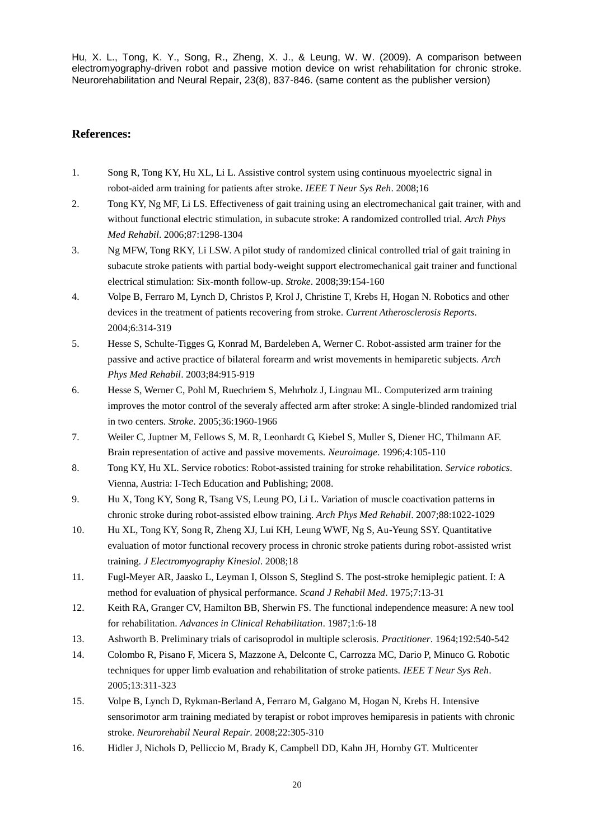### **References:**

- 1. Song R, Tong KY, Hu XL, Li L. Assistive control system using continuous myoelectric signal in robot-aided arm training for patients after stroke. *IEEE T Neur Sys Reh*. 2008;16
- 2. Tong KY, Ng MF, Li LS. Effectiveness of gait training using an electromechanical gait trainer, with and without functional electric stimulation, in subacute stroke: A randomized controlled trial. *Arch Phys Med Rehabil*. 2006;87:1298-1304
- 3. Ng MFW, Tong RKY, Li LSW. A pilot study of randomized clinical controlled trial of gait training in subacute stroke patients with partial body-weight support electromechanical gait trainer and functional electrical stimulation: Six-month follow-up. *Stroke*. 2008;39:154-160
- 4. Volpe B, Ferraro M, Lynch D, Christos P, Krol J, Christine T, Krebs H, Hogan N. Robotics and other devices in the treatment of patients recovering from stroke. *Current Atherosclerosis Reports*. 2004;6:314-319
- 5. Hesse S, Schulte-Tigges G, Konrad M, Bardeleben A, Werner C. Robot-assisted arm trainer for the passive and active practice of bilateral forearm and wrist movements in hemiparetic subjects. *Arch Phys Med Rehabil*. 2003;84:915-919
- 6. Hesse S, Werner C, Pohl M, Ruechriem S, Mehrholz J, Lingnau ML. Computerized arm training improves the motor control of the severaly affected arm after stroke: A single-blinded randomized trial in two centers. *Stroke*. 2005;36:1960-1966
- 7. Weiler C, Juptner M, Fellows S, M. R, Leonhardt G, Kiebel S, Muller S, Diener HC, Thilmann AF. Brain representation of active and passive movements. *Neuroimage*. 1996;4:105-110
- 8. Tong KY, Hu XL. Service robotics: Robot-assisted training for stroke rehabilitation. *Service robotics*. Vienna, Austria: I-Tech Education and Publishing; 2008.
- 9. Hu X, Tong KY, Song R, Tsang VS, Leung PO, Li L. Variation of muscle coactivation patterns in chronic stroke during robot-assisted elbow training. *Arch Phys Med Rehabil*. 2007;88:1022-1029
- 10. Hu XL, Tong KY, Song R, Zheng XJ, Lui KH, Leung WWF, Ng S, Au-Yeung SSY. Quantitative evaluation of motor functional recovery process in chronic stroke patients during robot-assisted wrist training. *J Electromyography Kinesiol*. 2008;18
- 11. Fugl-Meyer AR, Jaasko L, Leyman I, Olsson S, Steglind S. The post-stroke hemiplegic patient. I: A method for evaluation of physical performance. *Scand J Rehabil Med*. 1975;7:13-31
- 12. Keith RA, Granger CV, Hamilton BB, Sherwin FS. The functional independence measure: A new tool for rehabilitation. *Advances in Clinical Rehabilitation*. 1987;1:6-18
- 13. Ashworth B. Preliminary trials of carisoprodol in multiple sclerosis. *Practitioner*. 1964;192:540-542
- 14. Colombo R, Pisano F, Micera S, Mazzone A, Delconte C, Carrozza MC, Dario P, Minuco G. Robotic techniques for upper limb evaluation and rehabilitation of stroke patients. *IEEE T Neur Sys Reh*. 2005;13:311-323
- 15. Volpe B, Lynch D, Rykman-Berland A, Ferraro M, Galgano M, Hogan N, Krebs H. Intensive sensorimotor arm training mediated by terapist or robot improves hemiparesis in patients with chronic stroke. *Neurorehabil Neural Repair*. 2008;22:305-310
- 16. Hidler J, Nichols D, Pelliccio M, Brady K, Campbell DD, Kahn JH, Hornby GT. Multicenter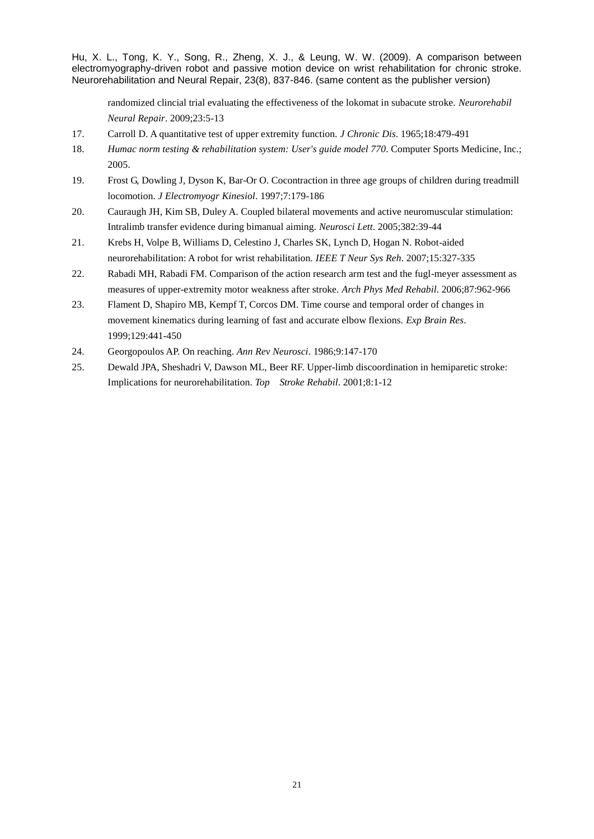randomized clincial trial evaluating the effectiveness of the lokomat in subacute stroke. *Neurorehabil Neural Repair*. 2009;23:5-13

- 17. Carroll D. A quantitative test of upper extremity function. *J Chronic Dis*. 1965;18:479-491
- 18. *Humac norm testing & rehabilitation system: User's guide model 770*. Computer Sports Medicine, Inc.; 2005.
- 19. Frost G, Dowling J, Dyson K, Bar-Or O. Cocontraction in three age groups of children during treadmill locomotion. *J Electromyogr Kinesiol*. 1997;7:179-186
- 20. Cauraugh JH, Kim SB, Duley A. Coupled bilateral movements and active neuromuscular stimulation: Intralimb transfer evidence during bimanual aiming. *Neurosci Lett*. 2005;382:39-44
- 21. Krebs H, Volpe B, Williams D, Celestino J, Charles SK, Lynch D, Hogan N. Robot-aided neurorehabilitation: A robot for wrist rehabilitation. *IEEE T Neur Sys Reh*. 2007;15:327-335
- 22. Rabadi MH, Rabadi FM. Comparison of the action research arm test and the fugl-meyer assessment as measures of upper-extremity motor weakness after stroke. *Arch Phys Med Rehabil*. 2006;87:962-966
- 23. Flament D, Shapiro MB, Kempf T, Corcos DM. Time course and temporal order of changes in movement kinematics during learning of fast and accurate elbow flexions. *Exp Brain Res*. 1999;129:441-450
- 24. Georgopoulos AP. On reaching. *Ann Rev Neurosci*. 1986;9:147-170
- 25. Dewald JPA, Sheshadri V, Dawson ML, Beer RF. Upper-limb discoordination in hemiparetic stroke: Implications for neurorehabilitation. *Top Stroke Rehabil*. 2001;8:1-12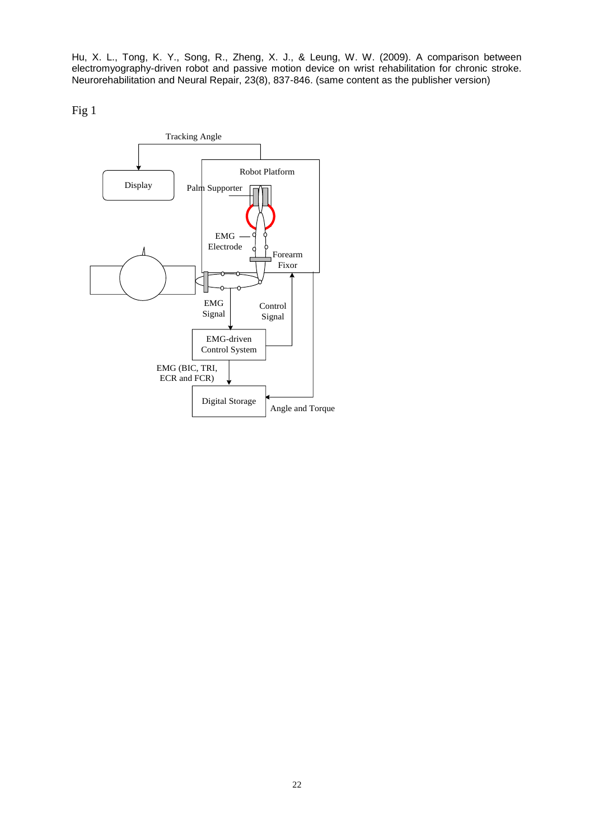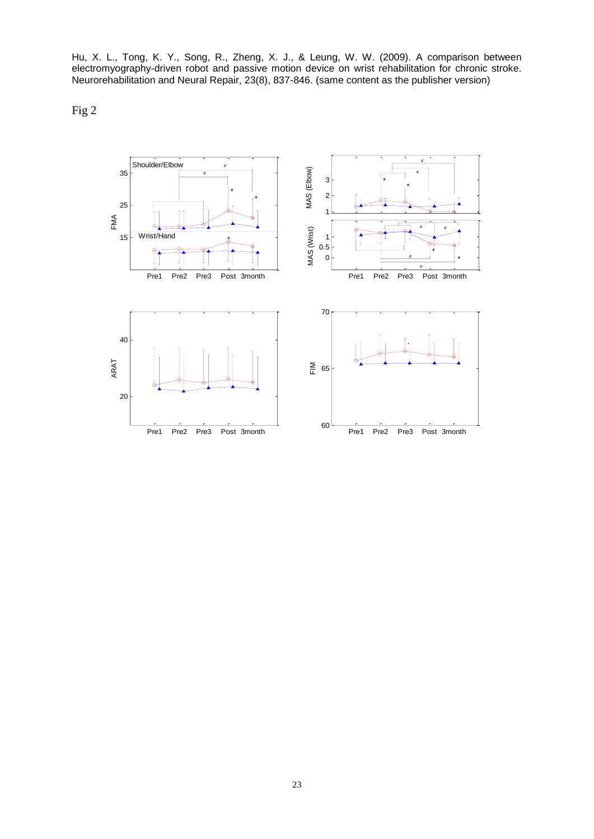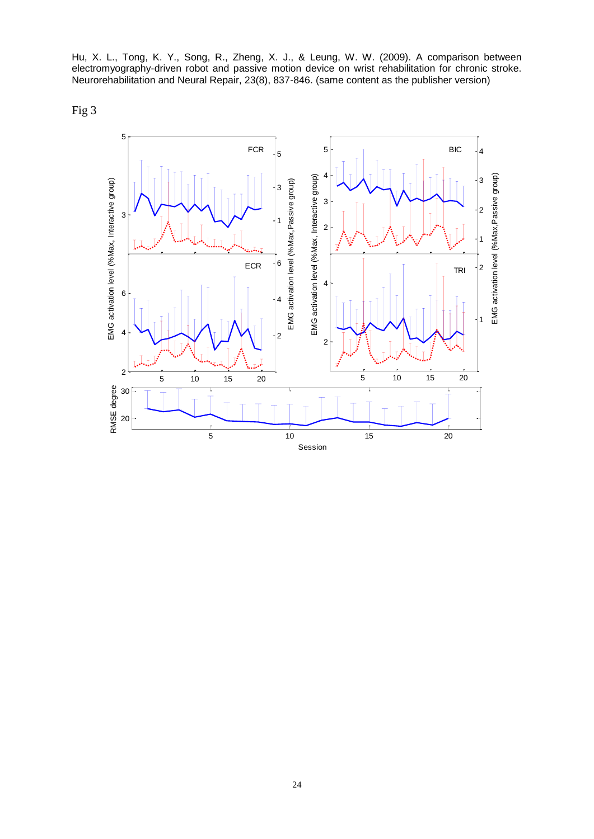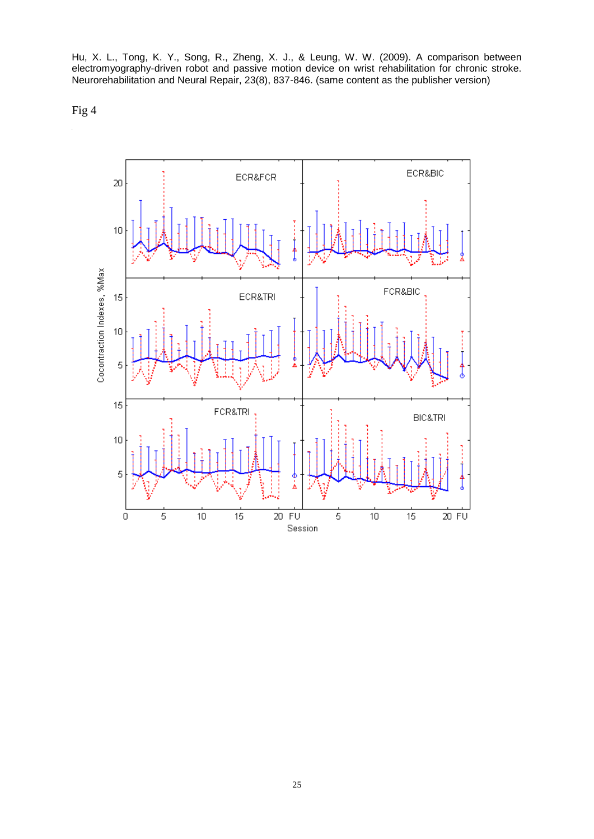